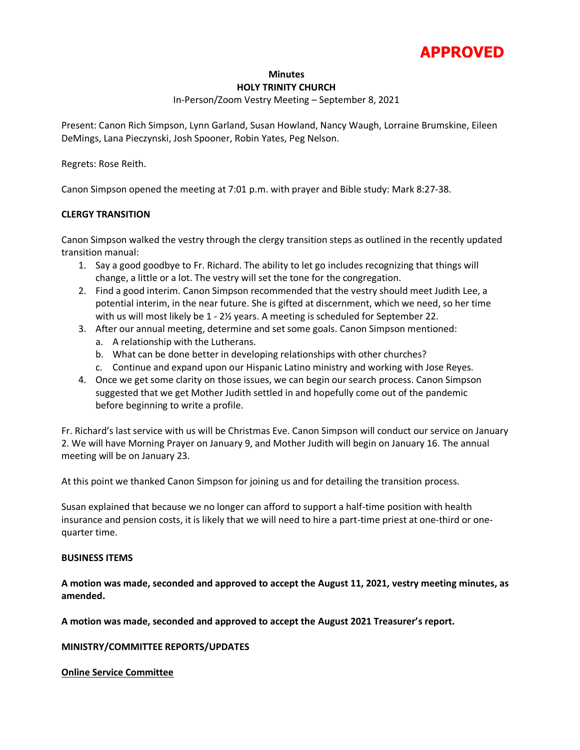

#### **Minutes**

#### **HOLY TRINITY CHURCH**

# In-Person/Zoom Vestry Meeting – September 8, 2021

Present: Canon Rich Simpson, Lynn Garland, Susan Howland, Nancy Waugh, Lorraine Brumskine, Eileen DeMings, Lana Pieczynski, Josh Spooner, Robin Yates, Peg Nelson.

Regrets: Rose Reith.

Canon Simpson opened the meeting at 7:01 p.m. with prayer and Bible study: Mark 8:27-38.

# **CLERGY TRANSITION**

Canon Simpson walked the vestry through the clergy transition steps as outlined in the recently updated transition manual:

- 1. Say a good goodbye to Fr. Richard. The ability to let go includes recognizing that things will change, a little or a lot. The vestry will set the tone for the congregation.
- 2. Find a good interim. Canon Simpson recommended that the vestry should meet Judith Lee, a potential interim, in the near future. She is gifted at discernment, which we need, so her time with us will most likely be 1 - 2½ years. A meeting is scheduled for September 22.
- 3. After our annual meeting, determine and set some goals. Canon Simpson mentioned:
	- a. A relationship with the Lutherans.
	- b. What can be done better in developing relationships with other churches?
	- c. Continue and expand upon our Hispanic Latino ministry and working with Jose Reyes.
- 4. Once we get some clarity on those issues, we can begin our search process. Canon Simpson suggested that we get Mother Judith settled in and hopefully come out of the pandemic before beginning to write a profile.

Fr. Richard's last service with us will be Christmas Eve. Canon Simpson will conduct our service on January 2. We will have Morning Prayer on January 9, and Mother Judith will begin on January 16. The annual meeting will be on January 23.

At this point we thanked Canon Simpson for joining us and for detailing the transition process.

Susan explained that because we no longer can afford to support a half-time position with health insurance and pension costs, it is likely that we will need to hire a part-time priest at one-third or onequarter time.

#### **BUSINESS ITEMS**

**A motion was made, seconded and approved to accept the August 11, 2021, vestry meeting minutes, as amended.** 

**A motion was made, seconded and approved to accept the August 2021 Treasurer's report.**

**MINISTRY/COMMITTEE REPORTS/UPDATES**

#### **Online Service Committee**